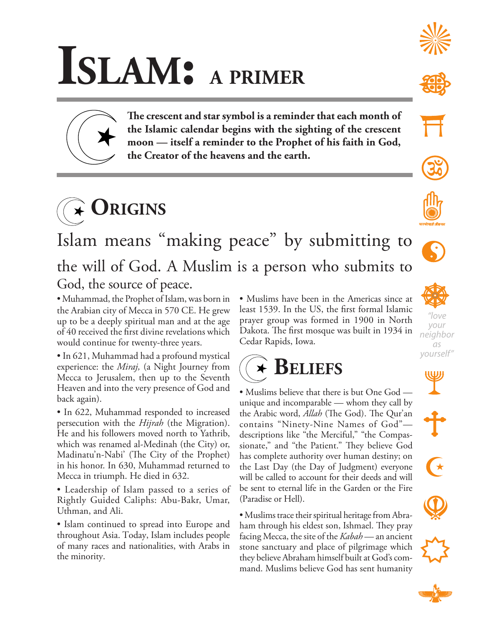## **Islam: a primer**

**The crescent and star symbol is a reminder that each month of the Islamic calendar begins with the sighting of the crescent moon — itself a reminder to the Prophet of his faith in God, the Creator of the heavens and the earth.**



Islam means "making peace" by submitting to the will of God. A Muslim is a person who submits to God, the source of peace.

• Muhammad, the Prophet of Islam, was born in the Arabian city of Mecca in 570 CE. He grew up to be a deeply spiritual man and at the age of 40 received the first divine revelations which would continue for twenty-three years.

• In 621, Muhammad had a profound mystical experience: the *Miraj,* (a Night Journey from Mecca to Jerusalem, then up to the Seventh Heaven and into the very presence of God and back again).

• In 622, Muhammad responded to increased persecution with the *Hijrah* (the Migration). He and his followers moved north to Yathrib, which was renamed al-Medinah (the City) or, Madinatu'n-Nabi' (The City of the Prophet) in his honor. In 630, Muhammad returned to Mecca in triumph. He died in 632.

• Leadership of Islam passed to a series of Rightly Guided Caliphs: Abu-Bakr, Umar, Uthman, and Ali.

• Islam continued to spread into Europe and throughout Asia. Today, Islam includes people of many races and nationalities, with Arabs in the minority.

• Muslims have been in the Americas since at least 1539. In the US, the first formal Islamic prayer group was formed in 1900 in North Dakota. The first mosque was built in 1934 in Cedar Rapids, Iowa.



• Muslims believe that there is but One God unique and incomparable — whom they call by the Arabic word, *Allah* (The God). The Qur'an contains "Ninety-Nine Names of God" descriptions like "the Merciful," "the Compassionate," and "the Patient." They believe God has complete authority over human destiny; on the Last Day (the Day of Judgment) everyone will be called to account for their deeds and will be sent to eternal life in the Garden or the Fire (Paradise or Hell).

• Muslims trace their spiritual heritage from Abraham through his eldest son, Ishmael. They pray facing Mecca, the site of the *Kabah* — an ancient stone sanctuary and place of pilgrimage which they believe Abraham himself built at God's command. Muslims believe God has sent humanity







 $\rightarrow$ 

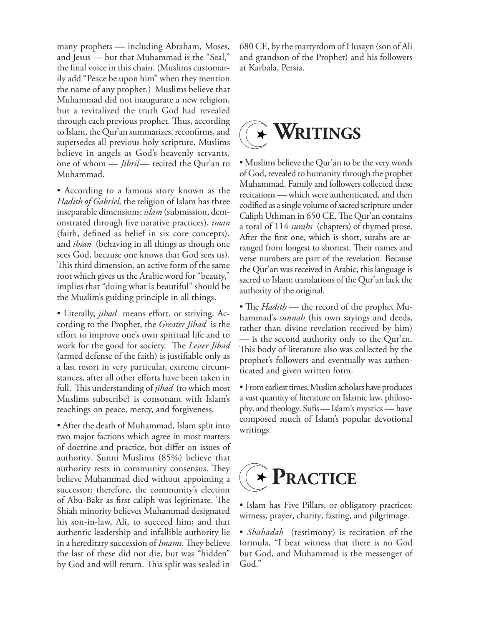many prophets — including Abraham, Moses, and Jesus — but that Muhammad is the "Seal," the final voice in this chain. (Muslims customarily add "Peace be upon him" when they mention the name of any prophet.) Muslims believe that Muhammad did not inaugurate a new religion, but a revitalized the truth God had revealed through each previous prophet. Thus, according to Islam, the Qur'an summarizes, reconfirms, and supersedes all previous holy scripture. Muslims believe in angels as God's heavenly servants, one of whom — *Jibril*— recited the Qur'an to Muhammad.

• According to a famous story known as the *Hadith of Gabriel,* the religion of Islam has three inseparable dimensions: *islam* (submission, demonstrated through five narative practices), *iman*  (faith, defined as belief in six core concepts), and *ihsan* (behaving in all things as though one sees God, because one knows that God sees us). This third dimension, an active form of the same root which gives us the Arabic word for "beauty," implies that "doing what is beautiful" should be the Muslim's guiding principle in all things.

• Literally, *jihad* means effort, or striving. According to the Prophet, the *Greater Jihad* is the effort to improve one's own spiritual life and to work for the good for society. The *Lesser Jihad*  (armed defense of the faith) is justifiable only as a last resort in very particular, extreme circumstances, after all other efforts have been taken in full. This understanding of *jihad* (to which most Muslims subscribe) is consonant with Islam's teachings on peace, mercy, and forgiveness.

• After the death of Muhammad, Islam split into two major factions which agree in most matters of doctrine and practice, but differ on issues of authority. Sunni Muslims (85%) believe that authority rests in community consensus. They believe Muhammad died without appointing a successor; therefore, the community's election of Abu-Bakr as first caliph was legitimate. The Shiah minority believes Muhammad designated his son-in-law, Ali, to succeed him; and that authentic leadership and infallible authority lie in a hereditary succession of *Imams*. They believe the last of these did not die, but was "hidden" by God and will return. This split was sealed in

680 CE, by the martyrdom of Husayn (son of Ali and grandson of the Prophet) and his followers at Karbala, Persia.

## **Writings** ▔★

• Muslims believe the Qur'an to be the very words of God, revealed to humanity through the prophet Muhammad. Family and followers collected these recitations — which were authenticated, and then codified as a single volume of sacred scripture under Caliph Uthman in 650 CE. The Qur'an contains a total of 114 *surahs* (chapters) of rhymed prose. After the first one, which is short, surahs are arranged from longest to shortest. Their names and verse numbers are part of the revelation. Because the Qur'an was received in Arabic, this language is sacred to Islam; translations of the Qur'an lack the authority of the original.

• The *Hadith* — the record of the prophet Muhammad's *sunnah* (his own sayings and deeds, rather than divine revelation received by him) — is the second authority only to the Qur'an. This body of literature also was collected by the prophet's followers and eventually was authenticated and given written form.

• From earliest times, Muslim scholars have produces a vast quantity of literature on Islamic law, philosophy, and theology. Sufis — Islam's mystics — have composed much of Islam's popular devotional writings.



• Islam has Five Pillars, or obligatory practices: witness, prayer, charity, fasting, and pilgrimage.

• *Shahadah* (testimony) is recitation of the formula, "I bear witness that there is no God but God, and Muhammad is the messenger of God."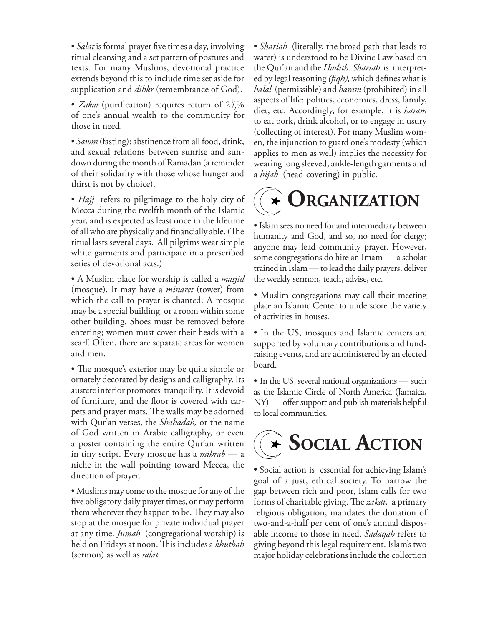• *Salat* is formal prayer five times a day, involving ritual cleansing and a set pattern of postures and texts. For many Muslims, devotional practice extends beyond this to include time set aside for supplication and *dihkr* (remembrance of God).

• *Zakat* (purification) requires return of  $2\frac{1}{2}$ % of one's annual wealth to the community for those in need.

• *Sawm* (fasting): abstinence from all food, drink, and sexual relations between sunrise and sundown during the month of Ramadan (a reminder of their solidarity with those whose hunger and thirst is not by choice).

• *Hajj* refers to pilgrimage to the holy city of Mecca during the twelfth month of the Islamic year, and is expected as least once in the lifetime of all who are physically and financially able. (The ritual lasts several days. All pilgrims wear simple white garments and participate in a prescribed series of devotional acts.)

• A Muslim place for worship is called a *masjid*  (mosque). It may have a *minaret* (tower) from which the call to prayer is chanted. A mosque may be a special building, or a room within some other building. Shoes must be removed before entering; women must cover their heads with a scarf. Often, there are separate areas for women and men.

• The mosque's exterior may be quite simple or ornately decorated by designs and calligraphy. Its austere interior promotes tranquility. It is devoid of furniture, and the floor is covered with carpets and prayer mats. The walls may be adorned with Qur'an verses, the *Shahadah,* or the name of God written in Arabic calligraphy, or even a poster containing the entire Qur'an written in tiny script. Every mosque has a *mihrab* — a niche in the wall pointing toward Mecca, the direction of prayer.

• Muslims may come to the mosque for any of the five obligatory daily prayer times, or may perform them wherever they happen to be. They may also stop at the mosque for private individual prayer at any time. *Jumah* (congregational worship) is held on Fridays at noon. This includes a *khutbah*  (sermon) as well as *salat.* 

• *Shariah* (literally, the broad path that leads to water) is understood to be Divine Law based on the Qur'an and the *Hadith. Shariah* is interpreted by legal reasoning *(fiqh),* which defines what is *halal* (permissible) and *haram* (prohibited) in all aspects of life: politics, economics, dress, family, diet, etc. Accordingly, for example, it is *haram*  to eat pork, drink alcohol, or to engage in usury (collecting of interest). For many Muslim women, the injunction to guard one's modesty (which applies to men as well) implies the necessity for wearing long sleeved, ankle-length garments and a *hijab* (head-covering) in public.

## **Organization**

• Islam sees no need for and intermediary between humanity and God, and so, no need for clergy; anyone may lead community prayer. However, some congregations do hire an Imam — a scholar trained in Islam — to lead the daily prayers, deliver the weekly sermon, teach, advise, etc.

- Muslim congregations may call their meeting place an Islamic Center to underscore the variety of activities in houses.
- In the US, mosques and Islamic centers are supported by voluntary contributions and fundraising events, and are administered by an elected board.

• In the US, several national organizations — such as the Islamic Circle of North America (Jamaica, NY) — offer support and publish materials helpful to local communities.



**•** Social action is essential for achieving Islam's goal of a just, ethical society. To narrow the gap between rich and poor, Islam calls for two forms of charitable giving. The *zakat,* a primary religious obligation, mandates the donation of two-and-a-half per cent of one's annual disposable income to those in need. *Sadaqah* refers to giving beyond this legal requirement. Islam's two major holiday celebrations include the collection